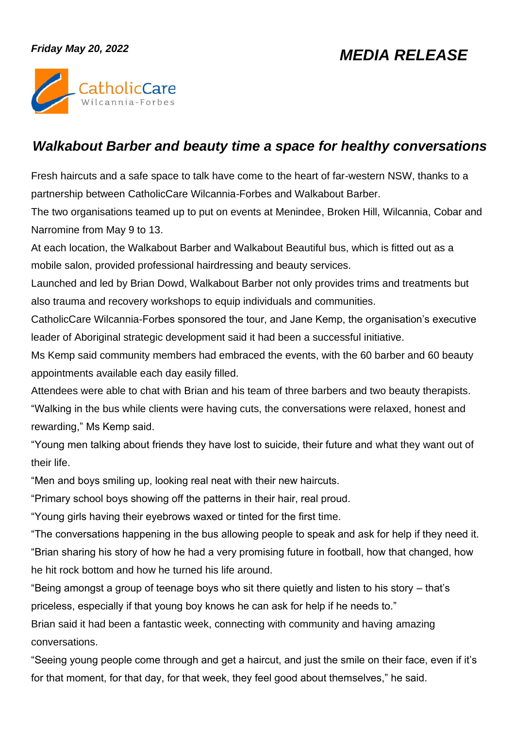## *Friday May 20, 2022*

## *MEDIA RELEASE*



## *Walkabout Barber and beauty time a space for healthy conversations*

Fresh haircuts and a safe space to talk have come to the heart of far-western NSW, thanks to a partnership between CatholicCare Wilcannia-Forbes and Walkabout Barber.

The two organisations teamed up to put on events at Menindee, Broken Hill, Wilcannia, Cobar and Narromine from May 9 to 13.

At each location, the Walkabout Barber and Walkabout Beautiful bus, which is fitted out as a mobile salon, provided professional hairdressing and beauty services.

Launched and led by Brian Dowd, Walkabout Barber not only provides trims and treatments but also trauma and recovery workshops to equip individuals and communities.

CatholicCare Wilcannia-Forbes sponsored the tour, and Jane Kemp, the organisation's executive leader of Aboriginal strategic development said it had been a successful initiative.

Ms Kemp said community members had embraced the events, with the 60 barber and 60 beauty appointments available each day easily filled.

Attendees were able to chat with Brian and his team of three barbers and two beauty therapists. "Walking in the bus while clients were having cuts, the conversations were relaxed, honest and rewarding," Ms Kemp said.

"Young men talking about friends they have lost to suicide, their future and what they want out of their life.

"Men and boys smiling up, looking real neat with their new haircuts.

"Primary school boys showing off the patterns in their hair, real proud.

"Young girls having their eyebrows waxed or tinted for the first time.

"The conversations happening in the bus allowing people to speak and ask for help if they need it. "Brian sharing his story of how he had a very promising future in football, how that changed, how he hit rock bottom and how he turned his life around.

"Being amongst a group of teenage boys who sit there quietly and listen to his story – that's priceless, especially if that young boy knows he can ask for help if he needs to."

Brian said it had been a fantastic week, connecting with community and having amazing conversations.

"Seeing young people come through and get a haircut, and just the smile on their face, even if it's for that moment, for that day, for that week, they feel good about themselves," he said.